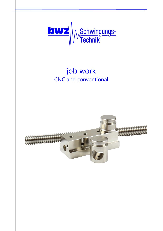

# job work CNC and conventional

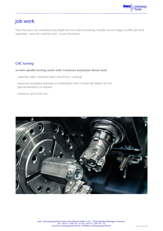

# job work

Over the years, our manufacturing depth has ever been increasing, therefor we are happy to offer job work capacities - even for small lot sizes - as per the below:

### CNC turning

#### **on twin-spindle turning centre with 3 revolvers and power-driven tools**

materials: steel / stainless steel / aluminium / castings

maximum workpiece diameter in combination with 3-meter bar feeder: 60 mm special diameters on request

tolerance: up to 0,02 mm

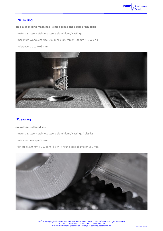

# CNC milling

#### **on 3-axis milling machines - single-piece and serial production**

materials: steel / stainless steel / aluminium / castings

maximum workpiece size: 200 mm x 200 mm x 100 mm ( l x w x h )

tolerance: up to 0,05 mm



#### NC sawing

#### **on automated band saw**

materials: steel / stainless steel / aluminium / castings / plastics

maximum workpiece size:

flat steel 300 mm x 250 mm ( l x w ) / round steel diameter 260 mm